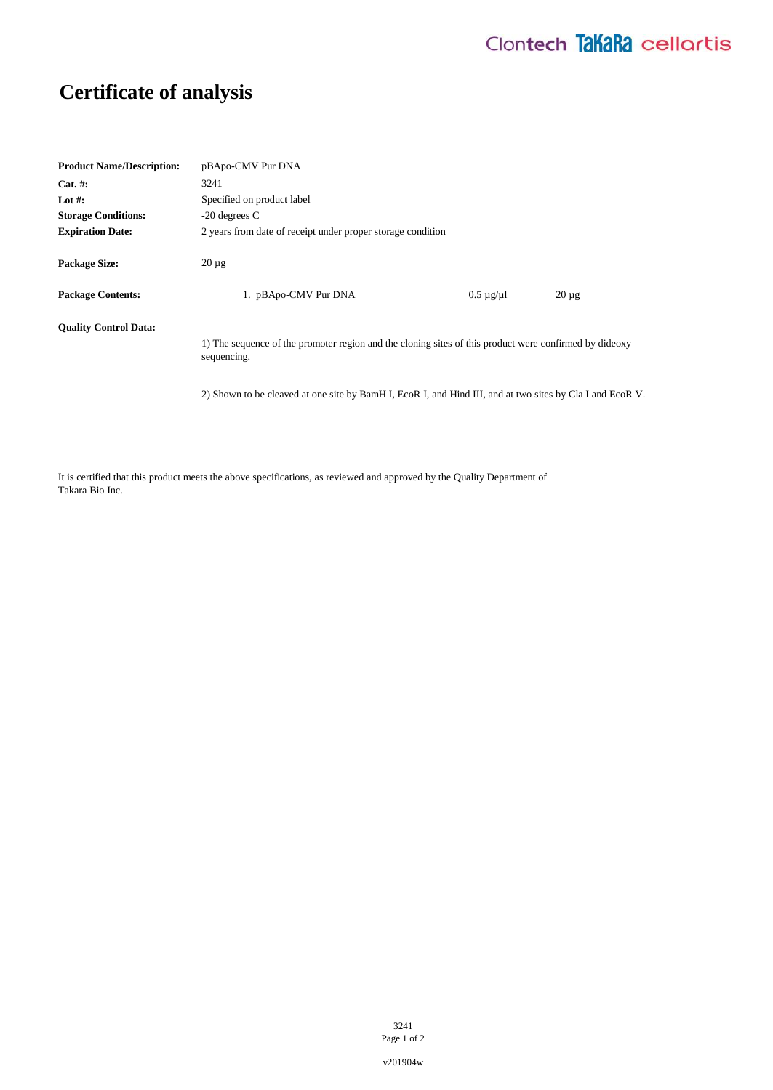## **Certificate of analysis**

| <b>Product Name/Description:</b> | pBApo-CMV Pur DNA                                                                                                     |                      |            |
|----------------------------------|-----------------------------------------------------------------------------------------------------------------------|----------------------|------------|
| $Cat. \#:$                       | 3241                                                                                                                  |                      |            |
| Lot #:                           | Specified on product label                                                                                            |                      |            |
| <b>Storage Conditions:</b>       | $-20$ degrees C                                                                                                       |                      |            |
| <b>Expiration Date:</b>          | 2 years from date of receipt under proper storage condition                                                           |                      |            |
| <b>Package Size:</b>             | $20 \mu$ g                                                                                                            |                      |            |
| <b>Package Contents:</b>         | 1. pBApo-CMV Pur DNA                                                                                                  | $0.5 \mu$ g/ $\mu$ l | $20 \mu g$ |
| <b>Quality Control Data:</b>     |                                                                                                                       |                      |            |
|                                  | 1) The sequence of the promoter region and the cloning sites of this product were confirmed by dideoxy<br>sequencing. |                      |            |
|                                  | 2) Shown to be cleaved at one site by BamH I, EcoR I, and Hind III, and at two sites by Cla I and EcoR V.             |                      |            |

It is certified that this product meets the above specifications, as reviewed and approved by the Quality Department of Takara Bio Inc.

> 3241 Page 1 of 2

v201904w